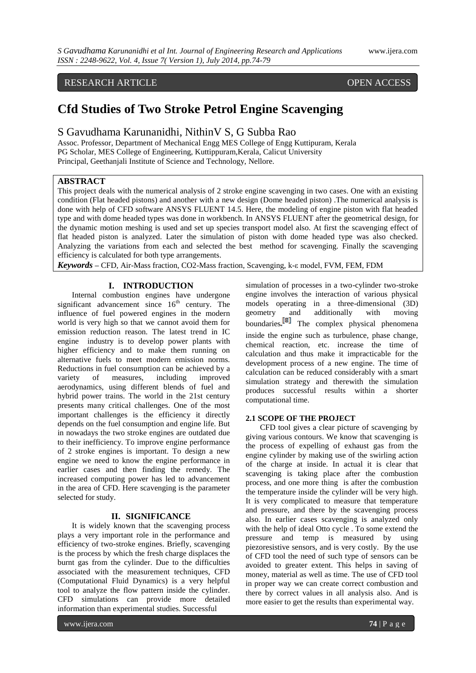### RESEARCH ARTICLE OPEN ACCESS

# **Cfd Studies of Two Stroke Petrol Engine Scavenging**

### S Gavudhama Karunanidhi, NithinV S, G Subba Rao

Assoc. Professor, Department of Mechanical Engg MES College of Engg Kuttipuram, Kerala PG Scholar, MES College of Engineering, Kuttippuram,Kerala, Calicut University Principal, Geethanjali Institute of Science and Technology, Nellore.

#### **ABSTRACT**

This project deals with the numerical analysis of 2 stroke engine scavenging in two cases. One with an existing condition (Flat headed pistons) and another with a new design (Dome headed piston) .The numerical analysis is done with help of CFD software ANSYS FLUENT 14.5. Here, the modeling of engine piston with flat headed type and with dome headed types was done in workbench. In ANSYS FLUENT after the geometrical design, for the dynamic motion meshing is used and set up species transport model also. At first the scavenging effect of flat headed piston is analyzed. Later the simulation of piston with dome headed type was also checked. Analyzing the variations from each and selected the best method for scavenging. Finally the scavenging efficiency is calculated for both type arrangements.

*Keywords* **–** CFD, Air-Mass fraction, CO2-Mass fraction, Scavenging, k-ε model, FVM, FEM, FDM

### **I. INTRODUCTION**

Internal combustion engines have undergone significant advancement since  $16<sup>th</sup>$  century. The influence of fuel powered engines in the modern world is very high so that we cannot avoid them for emission reduction reason. The latest trend in IC engine industry is to develop power plants with higher efficiency and to make them running on alternative fuels to meet modern emission norms. Reductions in fuel consumption can be achieved by a variety of measures, including improved aerodynamics, using different blends of fuel and hybrid power trains. The world in the 21st century presents many critical challenges. One of the most important challenges is the efficiency it directly depends on the fuel consumption and engine life. But in nowadays the two stroke engines are outdated due to their inefficiency. To improve engine performance of 2 stroke engines is important. To design a new engine we need to know the engine performance in earlier cases and then finding the remedy. The increased computing power has led to advancement in the area of CFD. Here scavenging is the parameter selected for study.

#### **II. SIGNIFICANCE**

It is widely known that the scavenging process plays a very important role in the performance and efficiency of two-stroke engines. Briefly, scavenging is the process by which the fresh charge displaces the burnt gas from the cylinder. Due to the difficulties associated with the measurement techniques, CFD (Computational Fluid Dynamics) is a very helpful tool to analyze the flow pattern inside the cylinder. CFD simulations can provide more detailed information than experimental studies. Successful

simulation of processes in a two-cylinder two-stroke engine involves the interaction of various physical models operating in a three-dimensional (3D) geometry and additionally with moving boundaries.<sup>10</sup> The complex physical phenomena inside the engine such as turbulence, phase change, chemical reaction, etc. increase the time of calculation and thus make it impracticable for the development process of a new engine. The time of calculation can be reduced considerably with a smart simulation strategy and therewith the simulation produces successful results within a shorter computational time.

#### **2.1 SCOPE OF THE PROJECT**

CFD tool gives a clear picture of scavenging by giving various contours. We know that scavenging is the process of expelling of exhaust gas from the engine cylinder by making use of the swirling action of the charge at inside. In actual it is clear that scavenging is taking place after the combustion process, and one more thing is after the combustion the temperature inside the cylinder will be very high. It is very complicated to measure that temperature and pressure, and there by the scavenging process also. In earlier cases scavenging is analyzed only with the help of ideal Otto cycle . To some extend the pressure and temp is measured by using piezoresistive sensors, and is very costly. By the use of CFD tool the need of such type of sensors can be avoided to greater extent. This helps in saving of money, material as well as time. The use of CFD tool in proper way we can create correct combustion and there by correct values in all analysis also. And is more easier to get the results than experimental way.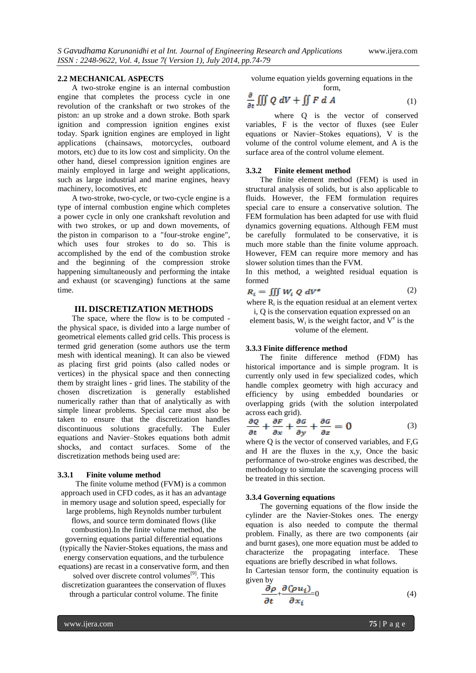#### **2.2 MECHANICAL ASPECTS**

A two-stroke engine is an internal combustion engine that completes the process cycle in one revolution of the crankshaft or two strokes of the piston: an up stroke and a down stroke. Both spark ignition and compression ignition engines exist today. Spark ignition engines are employed in light applications (chainsaws, motorcycles, outboard motors, etc) due to its low cost and simplicity. On the other hand, diesel compression ignition engines are mainly employed in large and weight applications, such as large industrial and marine engines, heavy machinery, locomotives, etc

A two-stroke, two-cycle, or two-cycle engine is a type of [internal combustion engine](http://en.wikipedia.org/wiki/Internal_combustion_engine) which completes a power cycle in only one crankshaft revolution and with two strokes, or up and down movements, of the [piston](http://en.wikipedia.org/wiki/Piston) in comparison to a ["four-stroke engine"](http://en.wikipedia.org/wiki/Four-stroke_engine), which uses four strokes to do so. This is accomplished by the end of the combustion stroke and the beginning of the compression stroke happening simultaneously and performing the intake and exhaust (or [scavenging\)](http://en.wikipedia.org/wiki/Scavenging_(automotive)) functions at the same time.

#### **III. DISCRETIZATION METHODS**

The space, where the flow is to be computed the physical space, is divided into a large number of geometrical elements called grid cells. This process is termed grid generation (some authors use the term mesh with identical meaning). It can also be viewed as placing first grid points (also called nodes or vertices) in the physical space and then connecting them by straight lines - grid lines. The stability of the chosen discretization is generally established numerically rather than that of analytically as with simple linear problems. Special care must also be taken to ensure that the discretization handles discontinuous solutions gracefully. The [Euler](https://en.wikipedia.org/wiki/Euler_equations_%28fluid_dynamics%29)  [equations](https://en.wikipedia.org/wiki/Euler_equations_%28fluid_dynamics%29) and [Navier–Stokes equations](https://en.wikipedia.org/wiki/Navier%E2%80%93Stokes_equations) both admit shocks, and contact surfaces. Some of the discretization methods being used are:

#### **3.3.1 Finite volume method**

The finite volume method (FVM) is a common approach used in CFD codes, as it has an advantage in [memory](https://en.wikipedia.org/wiki/Random-access_memory) usage and solution speed, especially for large problems, high [Reynolds number](https://en.wikipedia.org/wiki/Reynolds_number) turbulent flows, and source term dominated flows (like combustion).In the finite volume method, the governing equations partial differential equations (typically the Navier-Stokes equations, the mass and energy conservation equations, and the turbulence equations) are recast in a conservative form, and then solved over discrete control volumes<sup>[9]</sup>. This [discretization](https://en.wikipedia.org/wiki/Discretize) guarantees the conservation of fluxes through a particular control volume. The finite

volume equation yields governing equations in the form,

$$
\frac{\partial}{\partial t} \iiint Q \, dV + \iint F \, dA \tag{1}
$$

where Q is the vector of conserved variables, F is the vector of fluxes (see [Euler](https://en.wikipedia.org/wiki/Euler_equations_%28fluid_dynamics%29)  [equations](https://en.wikipedia.org/wiki/Euler_equations_%28fluid_dynamics%29) or [Navier–Stokes equations\)](https://en.wikipedia.org/wiki/Navier%E2%80%93Stokes_equations), V is the volume of the control volume element, and A is the surface area of the control volume element.

#### **3.3.2 Finite element method**

The finite element method (FEM) is used in structural analysis of solids, but is also applicable to fluids. However, the FEM formulation requires special care to ensure a conservative solution. The FEM formulation has been adapted for use with fluid dynamics governing equations. Although FEM must be carefully formulated to be conservative, it is much more stable than the finite volume approach. However, FEM can require more memory and has slower solution times than the FVM.

In this method, a weighted residual equation is formed

$$
R_i = \iiint W_i Q \, dV^e \tag{2}
$$

where  $R_i$  is the equation residual at an element vertex i, Q is the conservation equation expressed on an

element basis,  $W_i$  is the weight factor, and  $V^e$  is the volume of the element.

#### **3.3.3 Finite difference method**

The finite difference method (FDM) has historical importance and is simple program. It is currently only used in few specialized codes, which handle complex geometry with high accuracy and efficiency by using embedded boundaries or overlapping grids (with the solution interpolated across each grid).

$$
\frac{\partial Q}{\partial t} + \frac{\partial F}{\partial x} + \frac{\partial G}{\partial y} + \frac{\partial G}{\partial z} = 0
$$
 (3)

where Q is the vector of conserved variables, and F,G and H are the fluxes in the x,y, Once the basic performance of two-stroke engines was described, the methodology to simulate the scavenging process will be treated in this section.

#### **3.3.4 Governing equations**

The governing equations of the flow inside the cylinder are the Navier-Stokes ones. The energy equation is also needed to compute the thermal problem. Finally, as there are two components (air and burnt gases), one more equation must be added to characterize the propagating interface. These equations are briefly described in what follows.

In Cartesian tensor form, the continuity equation is given by

$$
\frac{\partial \rho}{\partial t} + \frac{\partial (\rho u_i)}{\partial x_i} = 0 \tag{4}
$$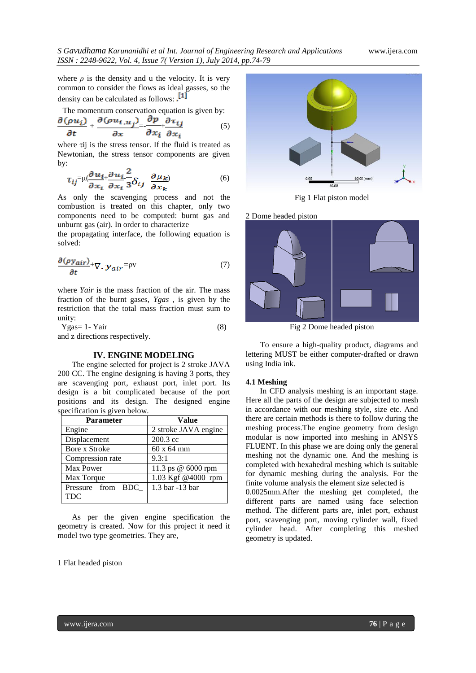where  $\rho$  is the density and u the velocity. It is very common to consider the flows as ideal gasses, so the density can be calculated as follows: [1]

The momentum conservation equation is given by:

$$
\frac{\partial(\rho u_i)}{\partial t} + \frac{\partial(\rho u_{i,u_j})}{\partial x} = \frac{\partial p}{\partial x_i} + \frac{\partial \tau_{ij}}{\partial x_i} \tag{5}
$$

where τij is the stress tensor. If the fluid is treated as Newtonian, the stress tensor components are given by:

$$
\tau_{ij} = \mu \left( \frac{\partial u_{i+1}}{\partial x_i} \frac{\partial u_i}{\partial x_i} \frac{\partial u_i}{\partial x_j} \right) \qquad (6)
$$

As only the scavenging process and not the combustion is treated on this chapter, only two components need to be computed: burnt gas and unburnt gas (air). In order to characterize

the propagating interface, the following equation is solved:

$$
\frac{\partial (\rho y_{air})}{\partial t} + \nabla \cdot y_{air} = \rho v \tag{7}
$$

where *Yair* is the mass fraction of the air. The mass fraction of the burnt gases, *Ygas* , is given by the restriction that the total mass fraction must sum to unity:

$$
Ygas = 1 - Yair
$$
\nand z directions respectively

\n
$$
Y = \frac{1}{2} \left( \frac{1}{2} \right)
$$

z directions respectively.

#### **IV. ENGINE MODELING**

The engine selected for project is 2 stroke JAVA 200 CC. The engine designing is having 3 ports, they are scavenging port, exhaust port, inlet port. Its design is a bit complicated because of the port positions and its design. The designed engine specification is given below.

| <b>Parameter</b>  | <b>Value</b>         |
|-------------------|----------------------|
| Engine            | 2 stroke JAVA engine |
| Displacement      | 200.3 cc             |
| Bore x Stroke     | 60 x 64 mm           |
| Compression rate  | 9.3:1                |
| Max Power         | 11.3 ps @ 6000 rpm   |
| Max Torque        | 1.03 Kgf @4000 rpm   |
| Pressure from BDC | 1.3 bar -13 bar      |
| <b>TDC</b>        |                      |

As per the given engine specification the geometry is created. Now for this project it need it model two type geometries. They are,

1 Flat headed piston



Fig 1 Flat piston model

2 Dome headed piston



Fig 2 Dome headed piston

To ensure a high-quality product, diagrams and lettering MUST be either computer-drafted or drawn using India ink.

#### **4.1 Meshing**

In CFD analysis meshing is an important stage. Here all the parts of the design are subjected to mesh in accordance with our meshing style, size etc. And there are certain methods is there to follow during the meshing process.The engine geometry from design modular is now imported into meshing in ANSYS FLUENT. In this phase we are doing only the general meshing not the dynamic one. And the meshing is completed with hexahedral meshing which is suitable for dynamic meshing during the analysis. For the finite volume analysis the element size selected is

0.0025mm.After the meshing get completed, the different parts are named using face selection method. The different parts are, inlet port, exhaust port, scavenging port, moving cylinder wall, fixed cylinder head. After completing this meshed geometry is updated.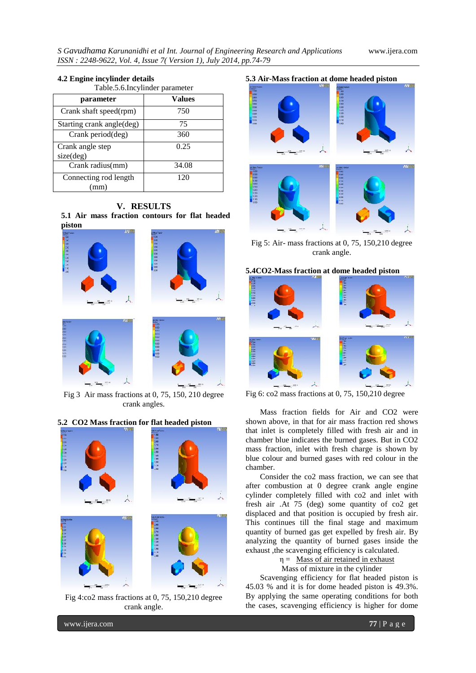# Table.5.6.Incylinder parameter 18888888 細胞細胞の細胞細胞 **TERRITARY**

#### **4.2 Engine incylinder details**

| I AVIC. J. V. IIIU VIIIIUCI PAI AIIICICI |        |
|------------------------------------------|--------|
| parameter                                | Values |
| Crank shaft speed(rpm)                   | 750    |
| Starting crank angle(deg)                | 75     |
| Crank period(deg)                        | 360    |
| Crank angle step<br>size(deg)            | 0.25   |
| Crank radius(mm)                         | 34.08  |
| Connecting rod length<br>mm)             | 120    |

## **V. RESULTS**

**5.1 Air mass fraction contours for flat headed piston**



Fig 3 Air mass fractions at 0, 75, 150, 210 degree crank angles.

# 1. 地名美国英国英国英国 184984888 尖 13383323

**5.2 CO2 Mass fraction for flat headed piston**

Fig 4:co2 mass fractions at 0, 75, 150,210 degree crank angle.



Fig 5: Air- mass fractions at 0, 75, 150,210 degree crank angle.

#### **5.4CO2-Mass fraction at dome headed piston**



Fig 6: co2 mass fractions at 0, 75, 150,210 degree

Mass fraction fields for Air and CO2 were shown above, in that for air mass fraction red shows that inlet is completely filled with fresh air and in chamber blue indicates the burned gases. But in CO2 mass fraction, inlet with fresh charge is shown by blue colour and burned gases with red colour in the chamber.

Consider the co2 mass fraction, we can see that after combustion at 0 degree crank angle engine cylinder completely filled with co2 and inlet with fresh air .At 75 (deg) some quantity of co2 get displaced and that position is occupied by fresh air. This continues till the final stage and maximum quantity of burned gas get expelled by fresh air. By analyzing the quantity of burned gases inside the exhaust ,the scavenging efficiency is calculated.

> $\eta =$  Mass of air retained in exhaust Mass of mixture in the cylinder

Scavenging efficiency for flat headed piston is 45.03 % and it is for dome headed piston is 49.3%. By applying the same operating conditions for both the cases, scavenging efficiency is higher for dome

www.ijera.com **77** | P a g e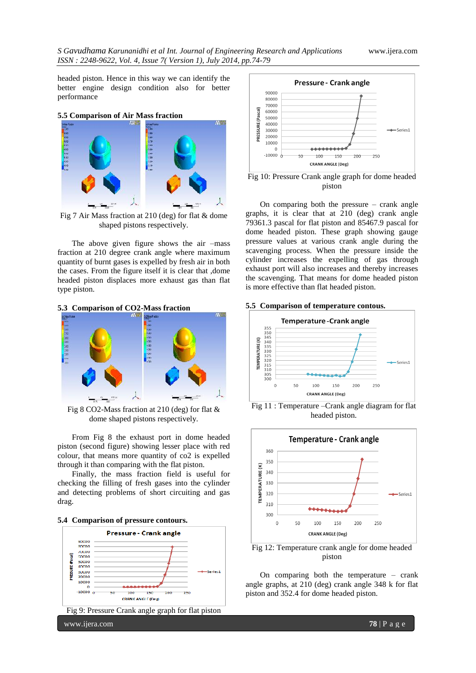headed piston. Hence in this way we can identify the better engine design condition also for better performance



Fig 7 Air Mass fraction at 210 (deg) for flat & dome shaped pistons respectively.

The above given figure shows the air –mass fraction at 210 degree crank angle where maximum quantity of burnt gases is expelled by fresh air in both the cases. From the figure itself it is clear that ,dome headed piston displaces more exhaust gas than flat type piston.

#### **5.3 Comparison of CO2-Mass fraction**



Fig 8 CO2-Mass fraction at 210 (deg) for flat & dome shaped pistons respectively.

From Fig 8 the exhaust port in dome headed piston (second figure) showing lesser place with red colour, that means more quantity of co2 is expelled through it than comparing with the flat piston.

Finally, the mass fraction field is useful for checking the filling of fresh gases into the cylinder and detecting problems of short circuiting and gas drag.







On comparing both the pressure – crank angle graphs, it is clear that at 210 (deg) crank angle 79361.3 pascal for flat piston and 85467.9 pascal for dome headed piston. These graph showing gauge pressure values at various crank angle during the scavenging process. When the pressure inside the cylinder increases the expelling of gas through exhaust port will also increases and thereby increases the scavenging. That means for dome headed piston is more effective than flat headed piston.

#### **5.5 Comparison of temperature contous.**



Fig 11 : Temperature –Crank angle diagram for flat headed piston.



Fig 12: Temperature crank angle for dome headed piston

On comparing both the temperature – crank angle graphs, at 210 (deg) crank angle 348 k for flat piston and 352.4 for dome headed piston.